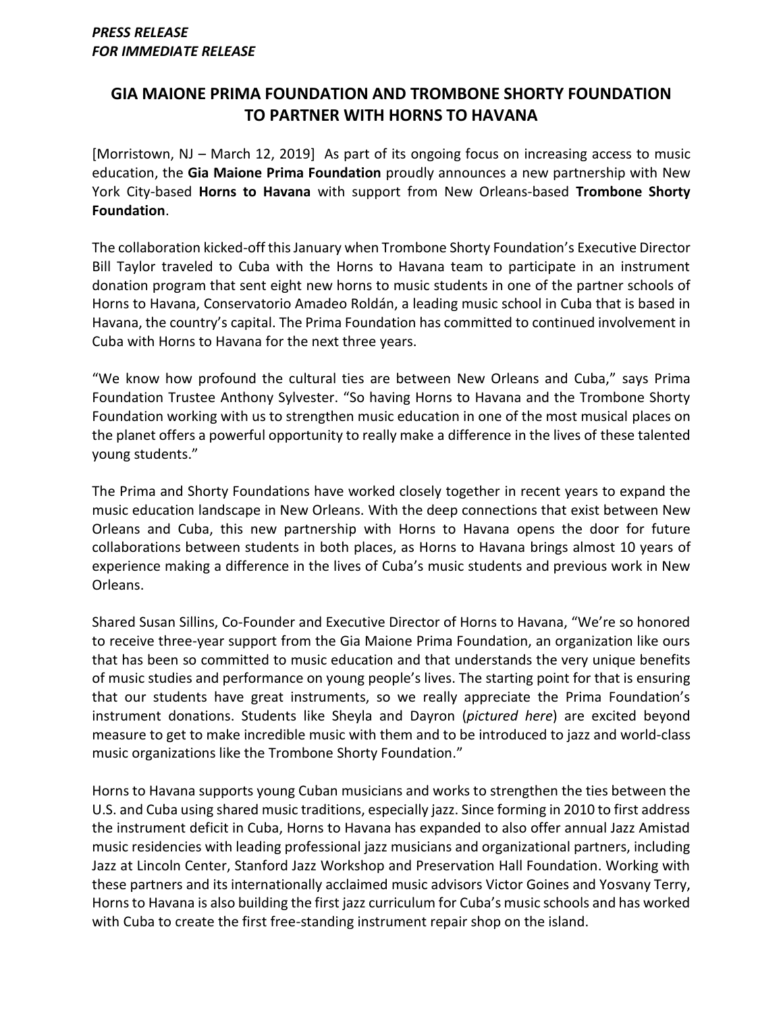## **GIA MAIONE PRIMA FOUNDATION AND TROMBONE SHORTY FOUNDATION TO PARTNER WITH HORNS TO HAVANA**

[Morristown, NJ – March 12, 2019] As part of its ongoing focus on increasing access to music education, the **Gia Maione Prima Foundation** proudly announces a new partnership with New York City-based **Horns to Havana** with support from New Orleans-based **Trombone Shorty Foundation**.

The collaboration kicked-off this January when Trombone Shorty Foundation's Executive Director Bill Taylor traveled to Cuba with the Horns to Havana team to participate in an instrument donation program that sent eight new horns to music students in one of the partner schools of Horns to Havana, Conservatorio Amadeo Roldán, a leading music school in Cuba that is based in Havana, the country's capital. The Prima Foundation has committed to continued involvement in Cuba with Horns to Havana for the next three years.

"We know how profound the cultural ties are between New Orleans and Cuba," says Prima Foundation Trustee Anthony Sylvester. "So having Horns to Havana and the Trombone Shorty Foundation working with us to strengthen music education in one of the most musical places on the planet offers a powerful opportunity to really make a difference in the lives of these talented young students."

The Prima and Shorty Foundations have worked closely together in recent years to expand the music education landscape in New Orleans. With the deep connections that exist between New Orleans and Cuba, this new partnership with Horns to Havana opens the door for future collaborations between students in both places, as Horns to Havana brings almost 10 years of experience making a difference in the lives of Cuba's music students and previous work in New Orleans.

Shared Susan Sillins, Co-Founder and Executive Director of Horns to Havana, "We're so honored to receive three-year support from the Gia Maione Prima Foundation, an organization like ours that has been so committed to music education and that understands the very unique benefits of music studies and performance on young people's lives. The starting point for that is ensuring that our students have great instruments, so we really appreciate the Prima Foundation's instrument donations. Students like Sheyla and Dayron (*pictured here*) are excited beyond measure to get to make incredible music with them and to be introduced to jazz and world-class music organizations like the Trombone Shorty Foundation."

Horns to Havana supports young Cuban musicians and works to strengthen the ties between the U.S. and Cuba using shared music traditions, especially jazz. Since forming in 2010 to first address the instrument deficit in Cuba, Horns to Havana has expanded to also offer annual Jazz Amistad music residencies with leading professional jazz musicians and organizational partners, including Jazz at Lincoln Center, Stanford Jazz Workshop and Preservation Hall Foundation. Working with these partners and its internationally acclaimed music advisors Victor Goines and Yosvany Terry, Horns to Havana is also building the first jazz curriculum for Cuba's music schools and has worked with Cuba to create the first free-standing instrument repair shop on the island.